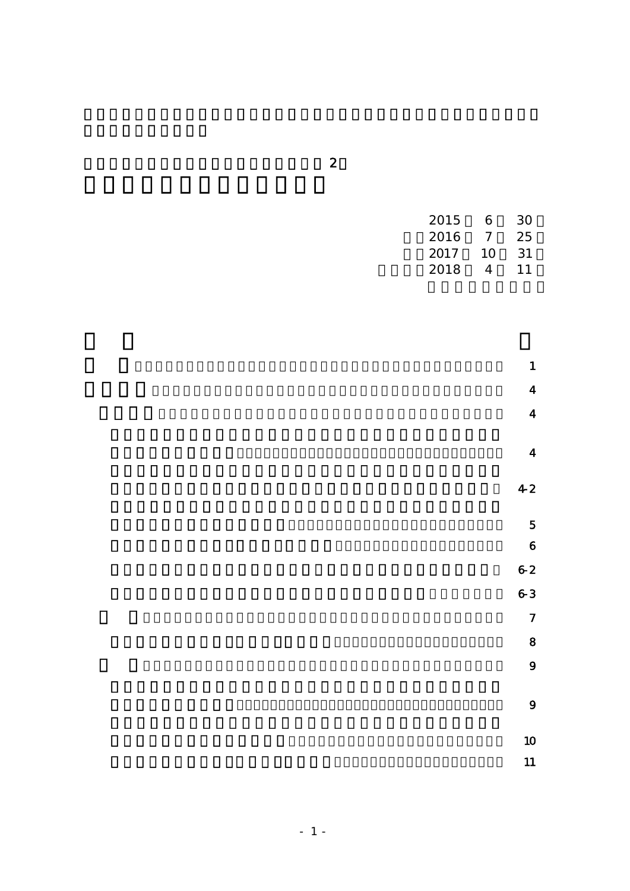| 2015 | 6        | 30  |  |
|------|----------|-----|--|
| 2016 | $\prime$ | 25  |  |
| 2017 | 10       | .31 |  |
| 2018 | 4        | 11  |  |

- $\blacksquare$  $\overline{4}$  $\overline{a}$  $\overline{a}$  $42$  $\overline{5}$  $\ddot{\phantom{a}}$ 
	- $6-2$  $6-3$  $\overline{7}$  $\overline{\textbf{8}}$  $\overline{9}$ 
		- $\overline{\mathbf{Q}}$

 $\overline{a}$  $\blacksquare$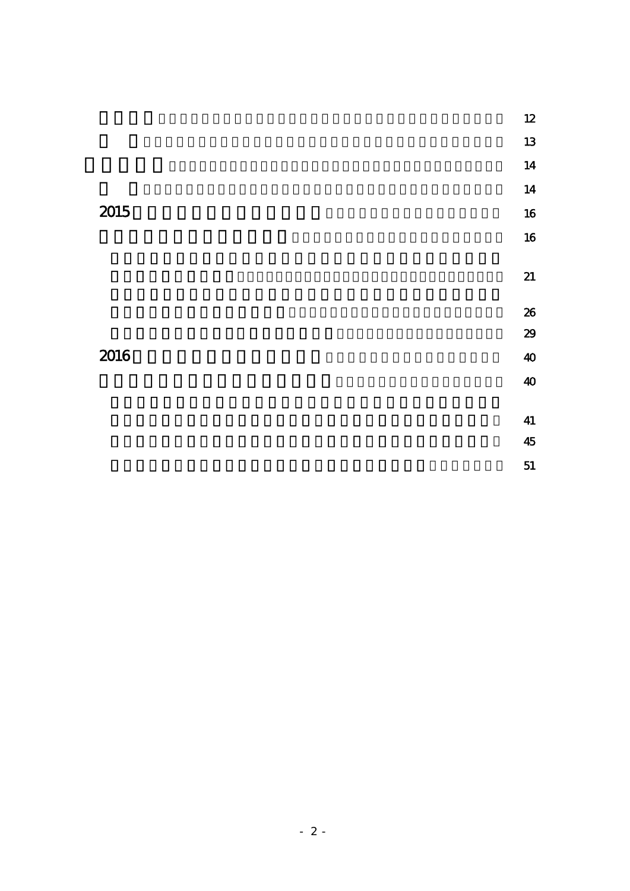|      |  | 12 |
|------|--|----|
|      |  | 13 |
|      |  | 14 |
|      |  | 14 |
| 2015 |  | 16 |
|      |  | 16 |
|      |  |    |
|      |  | 21 |
|      |  | 26 |
|      |  | 29 |
| 2016 |  | 40 |
|      |  | 40 |
|      |  |    |
|      |  | 41 |
|      |  | 45 |

 $\sim$   $\sim$  51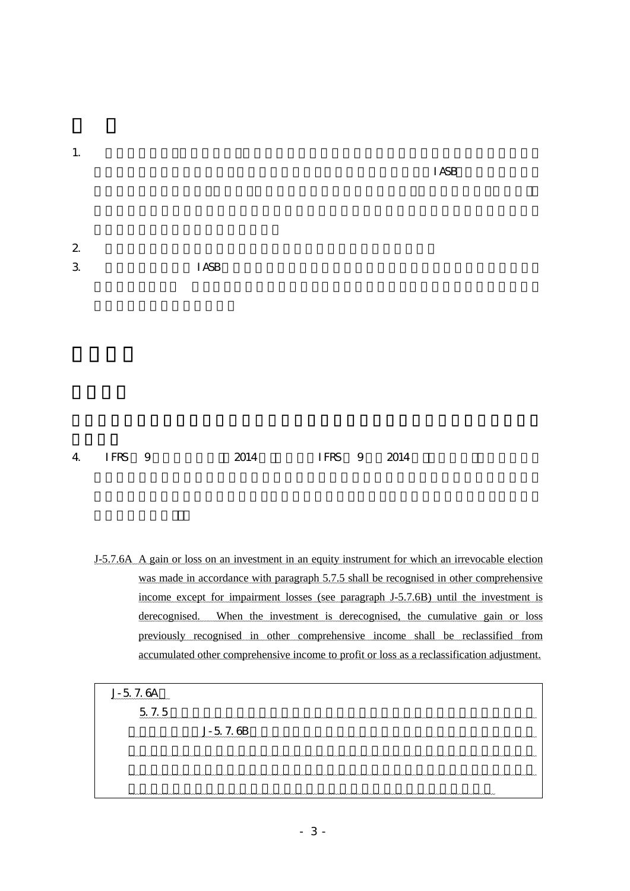| <b>I ASB</b> |  |
|--------------|--|
|              |  |
|              |  |
|              |  |
|              |  |
|              |  |
|              |  |
|              |  |

 $\overline{1}$  ASB

 $4$  IFRS 9  $2014$  IFRS 9  $2014$ 

- J-5.7.6A A gain or loss on an investment in an equity instrument for which an irrevocable election was made in accordance with paragraph 5.7.5 shall be recognised in other comprehensive income except for impairment losses (see paragraph J-5.7.6B) until the investment is derecognised. When the investment is derecognised, the cumulative gain or loss previously recognised in other comprehensive income shall be reclassified from accumulated other comprehensive income to profit or loss as a reclassification adjustment.
	- J-5.7.6A

 $5.7.5$ J-5.7.6B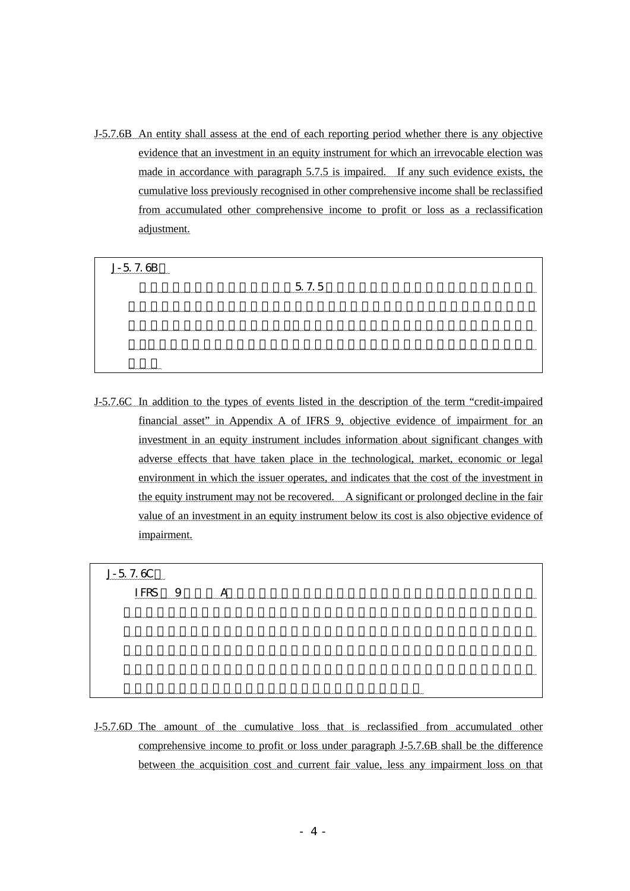J-5.7.6B An entity shall assess at the end of each reporting period whether there is any objective evidence that an investment in an equity instrument for which an irrevocable election was made in accordance with paragraph 5.7.5 is impaired. If any such evidence exists, the cumulative loss previously recognised in other comprehensive income shall be reclassified from accumulated other comprehensive income to profit or loss as a reclassification adjustment.

| $J - 57.6B$<br>,,,,,,,,,,,,,,,,,,,,,,,,,,,, |
|---------------------------------------------|
| 5 7.5                                       |
|                                             |
|                                             |
|                                             |
|                                             |
| $\sim\sim\sim\sim\sim\sim\sim\sim\sim$      |

J-5.7.6C In addition to the types of events listed in the description of the term "credit-impaired financial asset" in Appendix A of IFRS 9, objective evidence of impairment for an investment in an equity instrument includes information about significant changes with adverse effects that have taken place in the technological, market, economic or legal environment in which the issuer operates, and indicates that the cost of the investment in the equity instrument may not be recovered. A significant or prolonged decline in the fair value of an investment in an equity instrument below its cost is also objective evidence of impairment.

| $J - 576C$ |
|------------|
|            |
|            |
|            |
|            |
|            |
|            |

J-5.7.6D The amount of the cumulative loss that is reclassified from accumulated other comprehensive income to profit or loss under paragraph J-5.7.6B shall be the difference between the acquisition cost and current fair value, less any impairment loss on that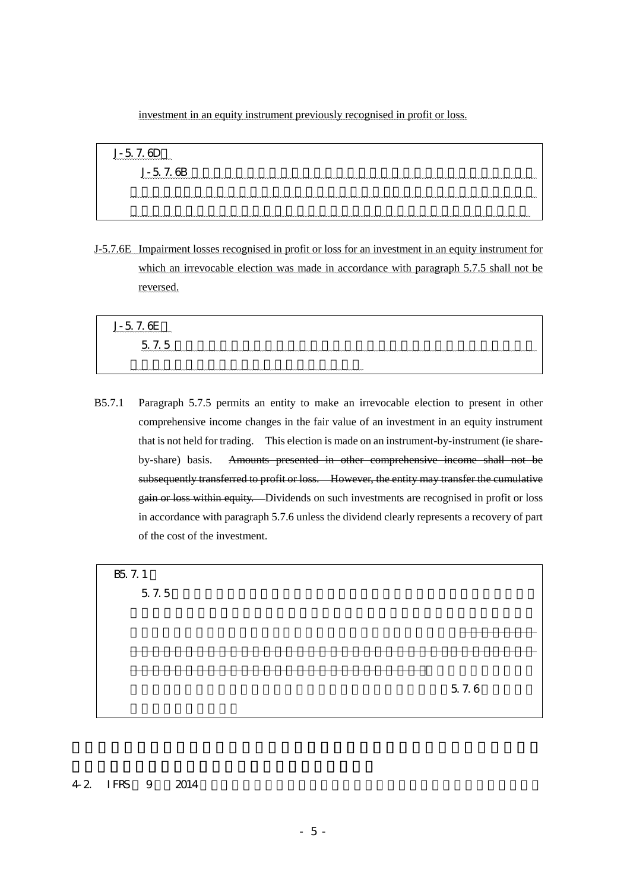investment in an equity instrument previously recognised in profit or loss.

| $J - 57.6D$<br>wwwwwwwwwwwwww |
|-------------------------------|
| $J - 57.6B$                   |
|                               |
|                               |

J-5.7.6E Impairment losses recognised in profit or loss for an investment in an equity instrument for which an irrevocable election was made in accordance with paragraph 5.7.5 shall not be reversed.

| $I-576F$<br>wwwwwwwwwwwww                       |
|-------------------------------------------------|
| $\overline{a}$<br>$\sim$<br><u>_</u><br>$\cdot$ |
|                                                 |

B5.7.1 Paragraph 5.7.5 permits an entity to make an irrevocable election to present in other comprehensive income changes in the fair value of an investment in an equity instrument that is not held for trading. This election is made on an instrument-by-instrument (ie shareby-share) basis. Amounts presented in other comprehensive income shall not be subsequently transferred to profit or loss. However, the entity may transfer the cumulative gain or loss within equity. Dividends on such investments are recognised in profit or loss in accordance with paragraph 5.7.6 unless the dividend clearly represents a recovery of part of the cost of the investment.

る。この選択は、金融商品ごと(すなわち株式ごと)に行われる。その他の包括利 益に表示された金額を事後的に純損益に振り替えてはならない。ただし、企業が利 得又は損失の累計額を資本の中で振り替えることはできる。こうした投資に対する

B<sub>5</sub> 7.1  $5.7.5$ 

 $5.7.6$ 

## $42$  IFRS  $9$   $2014$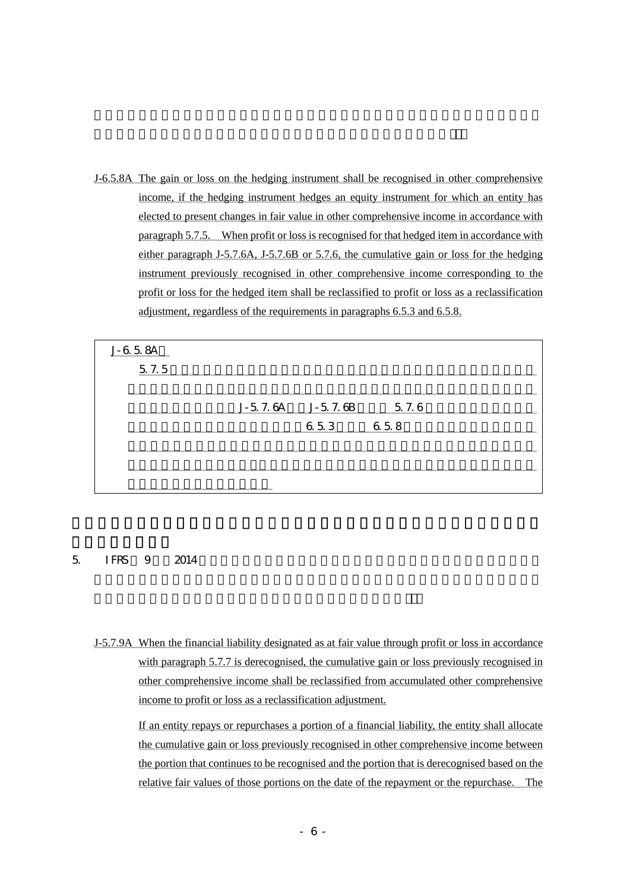J-6.5.8A The gain or loss on the hedging instrument shall be recognised in other comprehensive income, if the hedging instrument hedges an equity instrument for which an entity has elected to present changes in fair value in other comprehensive income in accordance with paragraph 5.7.5. When profit or loss is recognised for that hedged item in accordance with either paragraph J-5.7.6A, J-5.7.6B or 5.7.6, the cumulative gain or loss for the hedging instrument previously recognised in other comprehensive income corresponding to the profit or loss for the hedged item shall be reclassified to profit or loss as a reclassification adjustment, regardless of the requirements in paragraphs 6.5.3 and 6.5.8.



# $5$  IFRS  $9$   $2014$

J-5.7.9A When the financial liability designated as at fair value through profit or loss in accordance with paragraph 5.7.7 is derecognised, the cumulative gain or loss previously recognised in other comprehensive income shall be reclassified from accumulated other comprehensive income to profit or loss as a reclassification adjustment.

If an entity repays or repurchases a portion of a financial liability, the entity shall allocate the cumulative gain or loss previously recognised in other comprehensive income between the portion that continues to be recognised and the portion that is derecognised based on the relative fair values of those portions on the date of the repayment or the repurchase. The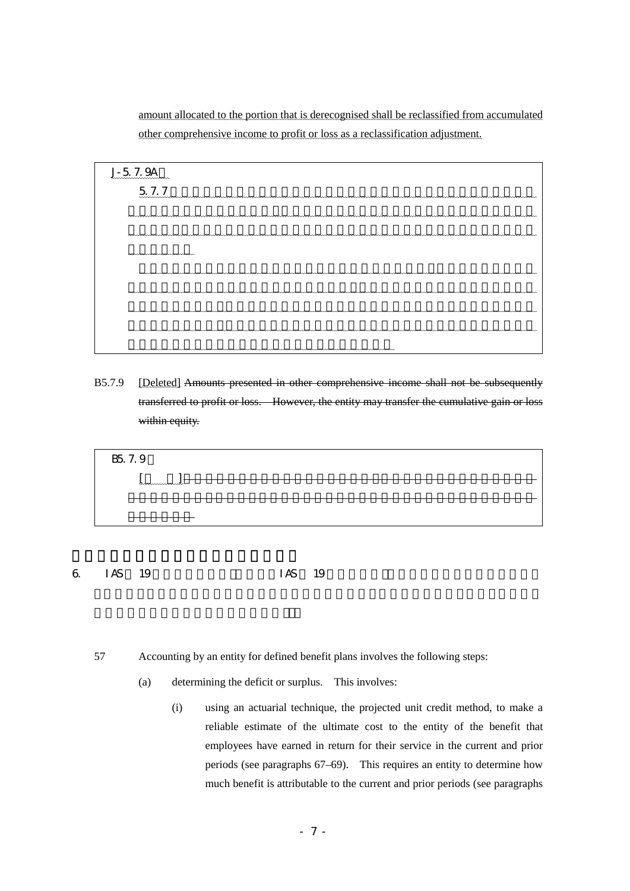amount allocated to the portion that is derecognised shall be reclassified from accumulated other comprehensive income to profit or loss as a reclassification adjustment.

| J-5 7.9A<br>,,,,,,,,,,,,,,,,,,,,,,,, |
|--------------------------------------|
| 5.7.7                                |
|                                      |
|                                      |
| nnnnnnnnnnnnnnnnn                    |
|                                      |
|                                      |
|                                      |
|                                      |
|                                      |

B5.7.9 [Deleted] Amounts presented in other comprehensive income shall not be subsequently transferred to profit or loss. However, the entity may transfer the cumulative gain or loss within equity.



- 6. IAS  $19$  IAS  $19$ 
	- 57 Accounting by an entity for defined benefit plans involves the following steps:
		- (a) determining the deficit or surplus. This involves:
			- (i) using an actuarial technique, the projected unit credit method, to make a reliable estimate of the ultimate cost to the entity of the benefit that employees have earned in return for their service in the current and prior periods (see paragraphs 67–69). This requires an entity to determine how much benefit is attributable to the current and prior periods (see paragraphs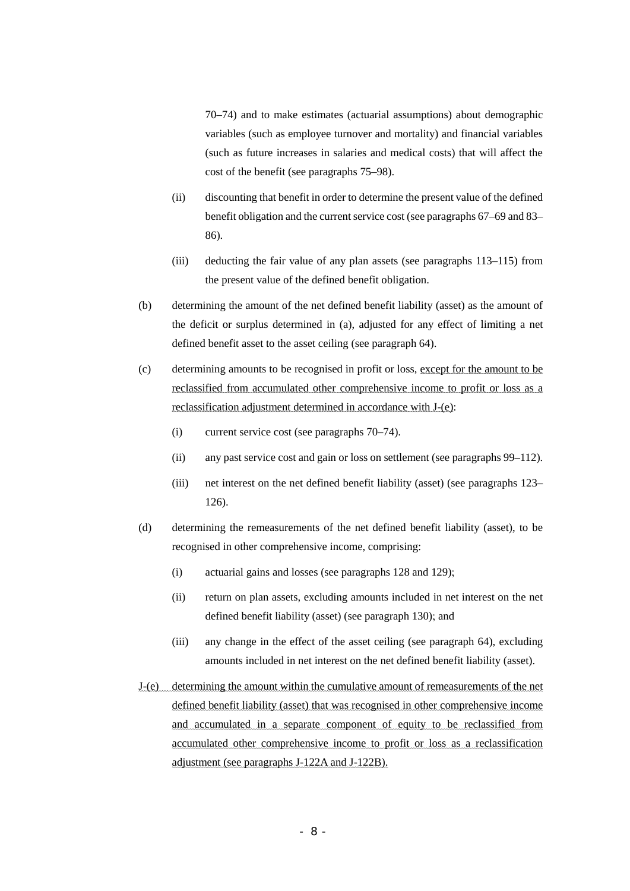70–74) and to make estimates (actuarial assumptions) about demographic variables (such as employee turnover and mortality) and financial variables (such as future increases in salaries and medical costs) that will affect the cost of the benefit (see paragraphs 75–98).

- (ii) discounting that benefit in order to determine the present value of the defined benefit obligation and the current service cost (see paragraphs 67–69 and 83– 86).
- (iii) deducting the fair value of any plan assets (see paragraphs 113–115) from the present value of the defined benefit obligation.
- (b) determining the amount of the net defined benefit liability (asset) as the amount of the deficit or surplus determined in (a), adjusted for any effect of limiting a net defined benefit asset to the asset ceiling (see paragraph 64).
- (c) determining amounts to be recognised in profit or loss, except for the amount to be reclassified from accumulated other comprehensive income to profit or loss as a reclassification adjustment determined in accordance with J-(e):
	- (i) current service cost (see paragraphs 70–74).
	- (ii) any past service cost and gain or loss on settlement (see paragraphs 99–112).
	- (iii) net interest on the net defined benefit liability (asset) (see paragraphs 123– 126).
- (d) determining the remeasurements of the net defined benefit liability (asset), to be recognised in other comprehensive income, comprising:
	- (i) actuarial gains and losses (see paragraphs 128 and 129);
	- (ii) return on plan assets, excluding amounts included in net interest on the net defined benefit liability (asset) (see paragraph 130); and
	- (iii) any change in the effect of the asset ceiling (see paragraph 64), excluding amounts included in net interest on the net defined benefit liability (asset).
- J-(e) determining the amount within the cumulative amount of remeasurements of the net defined benefit liability (asset) that was recognised in other comprehensive income and accumulated in a separate component of equity to be reclassified from accumulated other comprehensive income to profit or loss as a reclassification adjustment (see paragraphs J-122A and J-122B).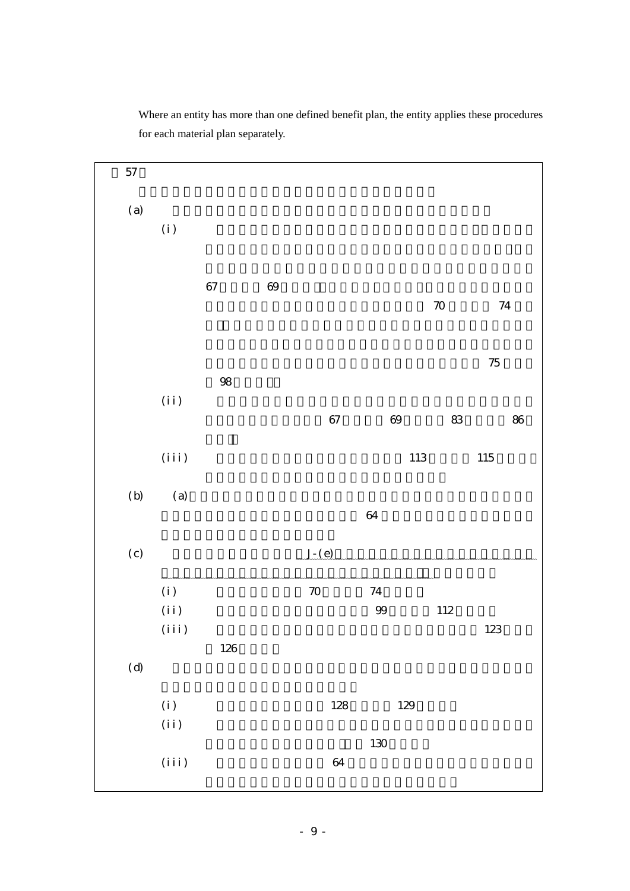

Where an entity has more than one defined benefit plan, the entity applies these procedures for each material plan separately.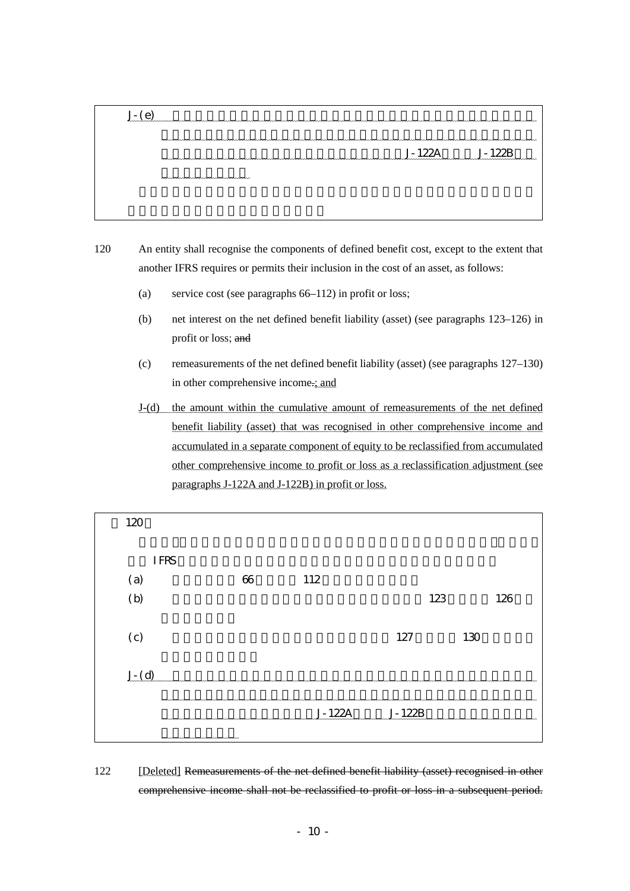| .J- ( e) |               |  |
|----------|---------------|--|
|          |               |  |
|          | J-122A J-122B |  |
|          |               |  |
|          |               |  |
|          |               |  |
|          |               |  |

120 An entity shall recognise the components of defined benefit cost, except to the extent that another IFRS requires or permits their inclusion in the cost of an asset, as follows:

- (a) service cost (see paragraphs 66–112) in profit or loss;
- (b) net interest on the net defined benefit liability (asset) (see paragraphs 123–126) in profit or loss; and
- (c) remeasurements of the net defined benefit liability (asset) (see paragraphs 127–130) in other comprehensive income.; and
- J-(d) the amount within the cumulative amount of remeasurements of the net defined benefit liability (asset) that was recognised in other comprehensive income and accumulated in a separate component of equity to be reclassified from accumulated other comprehensive income to profit or loss as a reclassification adjustment (see paragraphs J-122A and J-122B) in profit or loss.

| 120     |             |    |               |     |     |     |     |
|---------|-------------|----|---------------|-----|-----|-----|-----|
|         | <b>IFRS</b> |    |               |     |     |     |     |
| (a)     |             | 66 | 112           |     |     |     |     |
| (b)     |             |    |               |     | 123 |     | 126 |
| (c)     |             |    |               | 127 |     | 130 |     |
| $J - d$ |             |    |               |     |     |     |     |
|         |             |    | J-122A J-122B |     |     |     |     |
|         | mmmmmmmmmm  |    |               |     |     |     |     |

122 [Deleted] Remeasurements of the net defined benefit liability (asset) recognised in other comprehensive income shall not be reclassified to profit or loss in a subsequent period.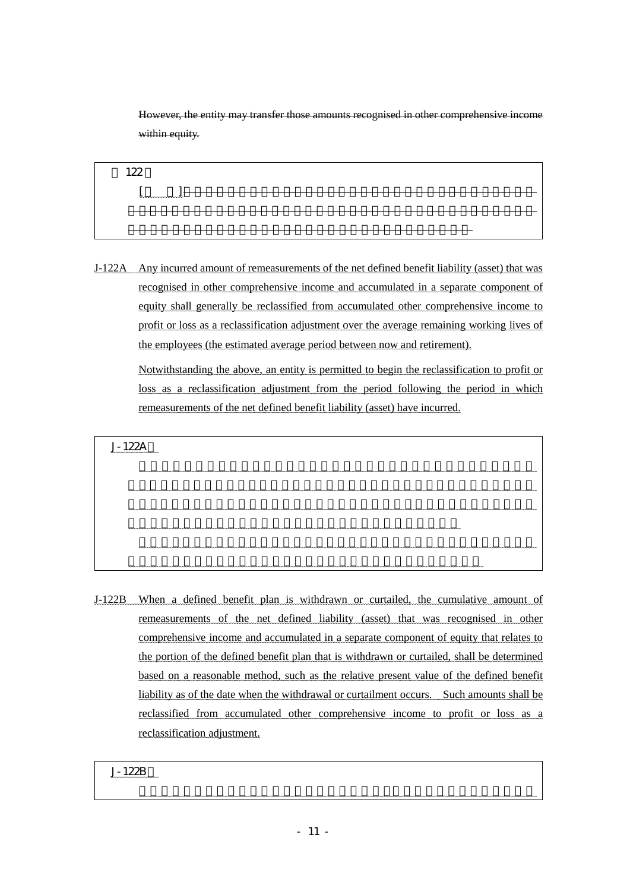However, the entity may transfer those amounts recognised in other comprehensive income within equity.

122 [削 除]その他の包括利益に認識した、確定給付負債又は資産(純額)の再測定 もの後の場面においては、その後の場面においてもあった。しかし、企業は、その後の場面においてもあった。しかし、企業は、その後の場面においてもあった。しかし、企業は、その後の場面に 他の包括利益に認識した金額を資本の中で振り替えることができる。

J-122A Any incurred amount of remeasurements of the net defined benefit liability (asset) that was recognised in other comprehensive income and accumulated in a separate component of equity shall generally be reclassified from accumulated other comprehensive income to profit or loss as a reclassification adjustment over the average remaining working lives of the employees (the estimated average period between now and retirement).

Notwithstanding the above, an entity is permitted to begin the reclassification to profit or loss as a reclassification adjustment from the period following the period in which remeasurements of the net defined benefit liability (asset) have incurred.

J-122A

その他の包括利益に認識し資本の独立の区分に累積していた確定給付負債又は  $\mathcal{O}(\mathcal{A})$  $\mathcal{R}$ の他の包括利益累計額から純損益に組替調整額として振り替える。 ただし、当期の確定給付負債又は資産(純額)の再測定の発生額について、翌期 もちらんだ。

J-122B When a defined benefit plan is withdrawn or curtailed, the cumulative amount of remeasurements of the net defined liability (asset) that was recognised in other comprehensive income and accumulated in a separate component of equity that relates to the portion of the defined benefit plan that is withdrawn or curtailed, shall be determined based on a reasonable method, such as the relative present value of the defined benefit liability as of the date when the withdrawal or curtailment occurs. Such amounts shall be reclassified from accumulated other comprehensive income to profit or loss as a reclassification adjustment.

J-122B 項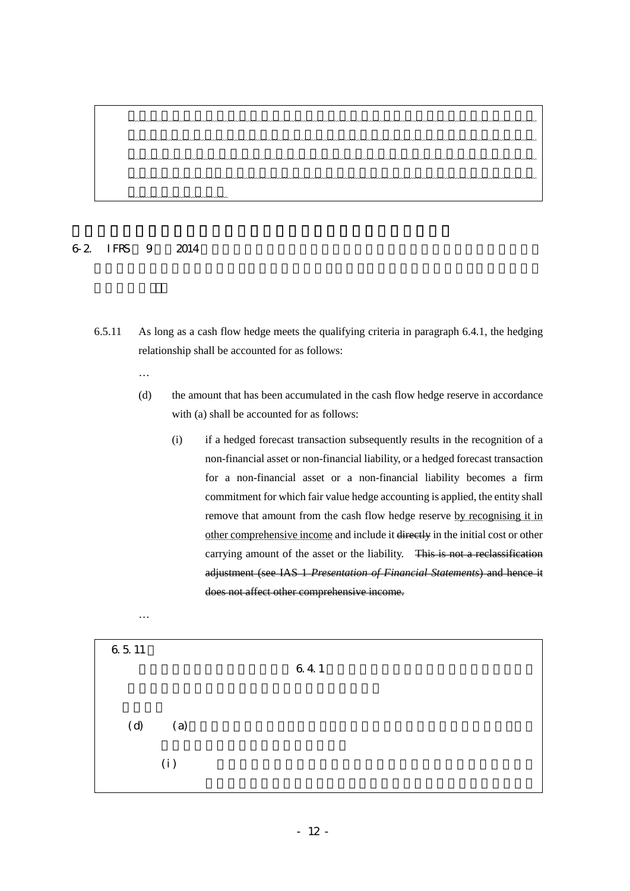# $6-2$  IFRS  $9$   $2014$

- 6.5.11 As long as a cash flow hedge meets the qualifying criteria in paragraph 6.4.1, the hedging relationship shall be accounted for as follows:
	- …

…

- (d) the amount that has been accumulated in the cash flow hedge reserve in accordance with (a) shall be accounted for as follows:
	- (i) if a hedged forecast transaction subsequently results in the recognition of a non-financial asset or non-financial liability, or a hedged forecast transaction for a non-financial asset or a non-financial liability becomes a firm commitment for which fair value hedge accounting is applied, the entity shall remove that amount from the cash flow hedge reserve by recognising it in other comprehensive income and include it directly in the initial cost or other carrying amount of the asset or the liability. This is not a reclassification adjustment (see IAS 1 *Presentation of Financial Statements*) and hence it does not affect other comprehensive income.

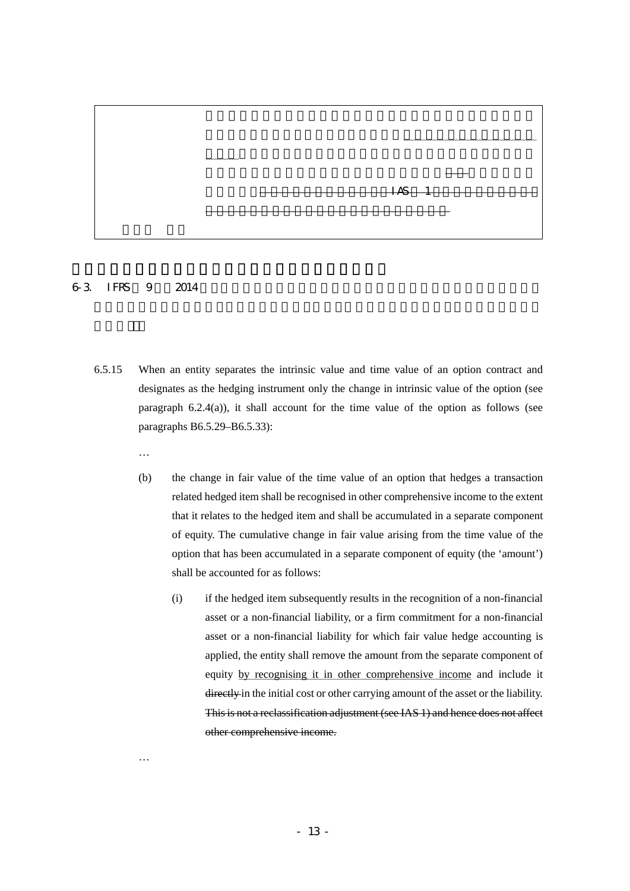

## $6-3$  IFRS  $9$   $2014$

…

…

- 6.5.15 When an entity separates the intrinsic value and time value of an option contract and designates as the hedging instrument only the change in intrinsic value of the option (see paragraph 6.2.4(a)), it shall account for the time value of the option as follows (see paragraphs B6.5.29–B6.5.33):
	- (b) the change in fair value of the time value of an option that hedges a transaction related hedged item shall be recognised in other comprehensive income to the extent that it relates to the hedged item and shall be accumulated in a separate component of equity. The cumulative change in fair value arising from the time value of the option that has been accumulated in a separate component of equity (the 'amount') shall be accounted for as follows:
		- (i) if the hedged item subsequently results in the recognition of a non-financial asset or a non-financial liability, or a firm commitment for a non-financial asset or a non-financial liability for which fair value hedge accounting is applied, the entity shall remove the amount from the separate component of equity by recognising it in other comprehensive income and include it directly in the initial cost or other carrying amount of the asset or the liability. This is not a reclassification adjustment (see IAS 1) and hence does not affect other comprehensive income.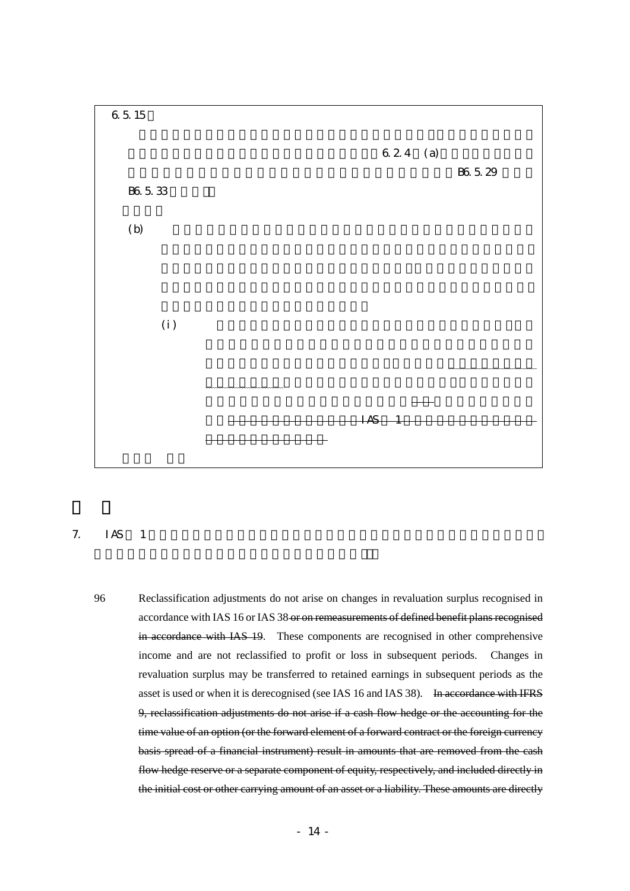

# 7. IAS 1

96 Reclassification adjustments do not arise on changes in revaluation surplus recognised in accordance with IAS 16 or IAS 38 or on remeasurements of defined benefit plans recognised in accordance with IAS 19. These components are recognised in other comprehensive income and are not reclassified to profit or loss in subsequent periods. Changes in revaluation surplus may be transferred to retained earnings in subsequent periods as the asset is used or when it is derecognised (see IAS 16 and IAS 38). In accordance with IFRS 9, reclassification adjustments do not arise if a cash flow hedge or the accounting for the time value of an option (or the forward element of a forward contract or the foreign currency basis spread of a financial instrument) result in amounts that are removed from the cash flow hedge reserve or a separate component of equity, respectively, and included directly in the initial cost or other carrying amount of an asset or a liability. These amounts are directly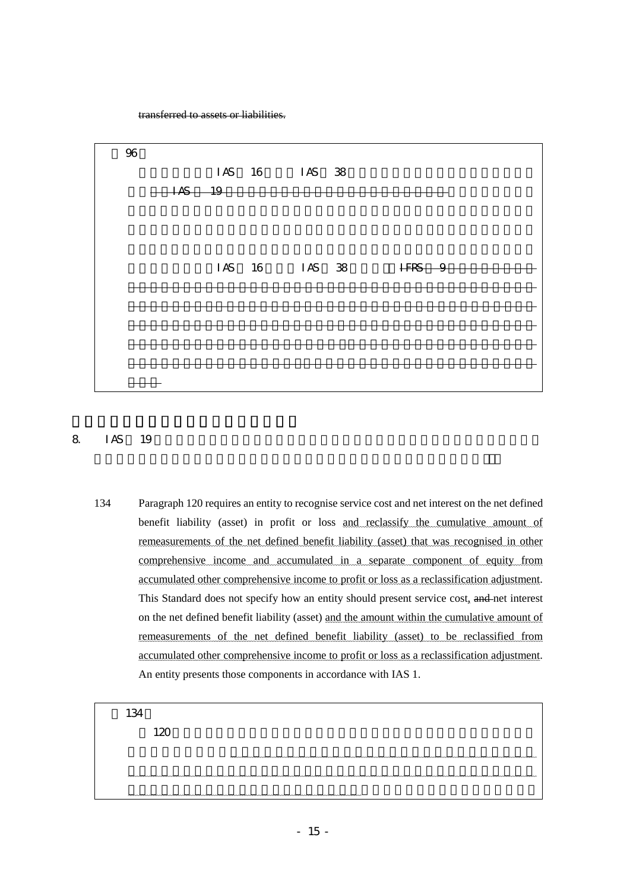transferred to assets or liabilities.



## $8 \tImes 19$

134 Paragraph 120 requires an entity to recognise service cost and net interest on the net defined benefit liability (asset) in profit or loss and reclassify the cumulative amount of remeasurements of the net defined benefit liability (asset) that was recognised in other comprehensive income and accumulated in a separate component of equity from accumulated other comprehensive income to profit or loss as a reclassification adjustment. This Standard does not specify how an entity should present service cost, and net interest on the net defined benefit liability (asset) and the amount within the cumulative amount of remeasurements of the net defined benefit liability (asset) to be reclassified from accumulated other comprehensive income to profit or loss as a reclassification adjustment. An entity presents those components in accordance with IAS 1.

134  $120$ 

損益に認識すること並びにその他の包括利益に認識し資本の独立の区分に累積し ていた確定給付負債又は資産(純額)の再測定の累計額をその他の包括利益累計額 もちらん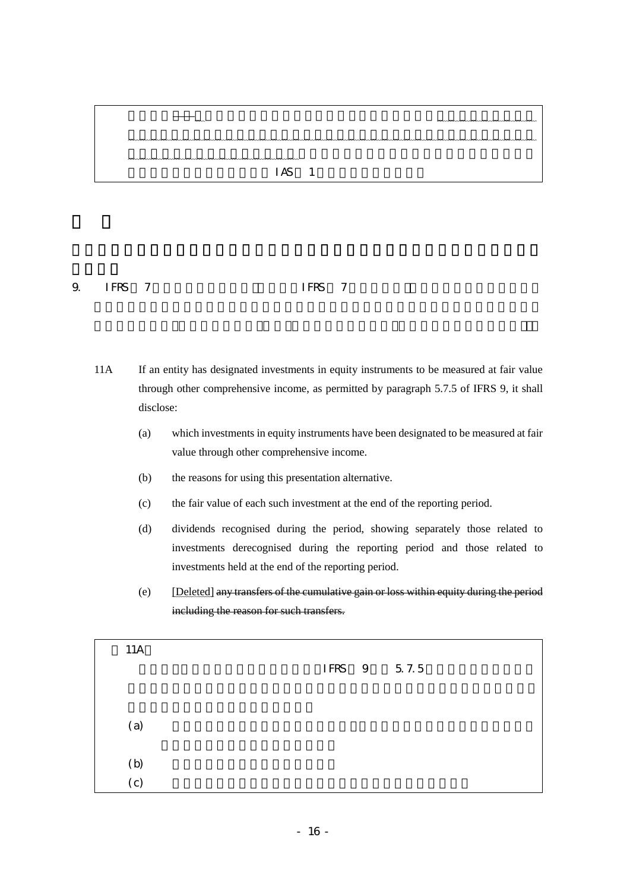

9. IFRS  $\overline{7}$  JFRS  $\overline{7}$ 

- 11A If an entity has designated investments in equity instruments to be measured at fair value through other comprehensive income, as permitted by paragraph 5.7.5 of IFRS 9, it shall disclose:
	- (a) which investments in equity instruments have been designated to be measured at fair value through other comprehensive income.
	- (b) the reasons for using this presentation alternative.
	- (c) the fair value of each such investment at the end of the reporting period.
	- (d) dividends recognised during the period, showing separately those related to investments derecognised during the reporting period and those related to investments held at the end of the reporting period.
	- (e) [Deleted] any transfers of the cumulative gain or loss within equity during the period including the reason for such transfers.

| 11A                                                     |  |  |             |  |
|---------------------------------------------------------|--|--|-------------|--|
|                                                         |  |  | IFRS 9 57.5 |  |
|                                                         |  |  |             |  |
|                                                         |  |  |             |  |
| (a)                                                     |  |  |             |  |
|                                                         |  |  |             |  |
| $\begin{array}{c} \text{(b)} \\ \text{(c)} \end{array}$ |  |  |             |  |
|                                                         |  |  |             |  |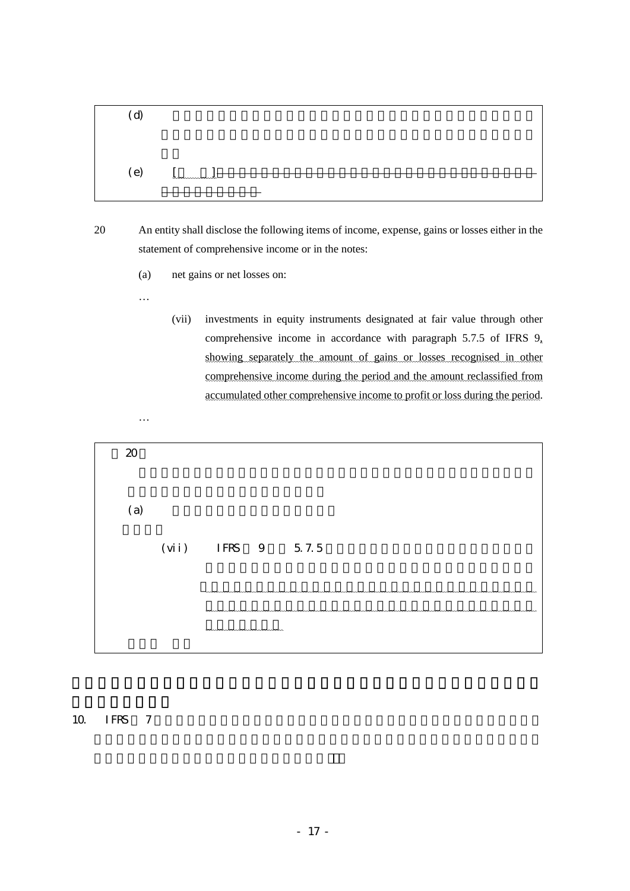

- 20 An entity shall disclose the following items of income, expense, gains or losses either in the statement of comprehensive income or in the notes:
	- (a) net gains or net losses on:

…

…

(vii) investments in equity instruments designated at fair value through other comprehensive income in accordance with paragraph 5.7.5 of IFRS 9, showing separately the amount of gains or losses recognised in other comprehensive income during the period and the amount reclassified from accumulated other comprehensive income to profit or loss during the period.



# $10.$  IFRS  $7$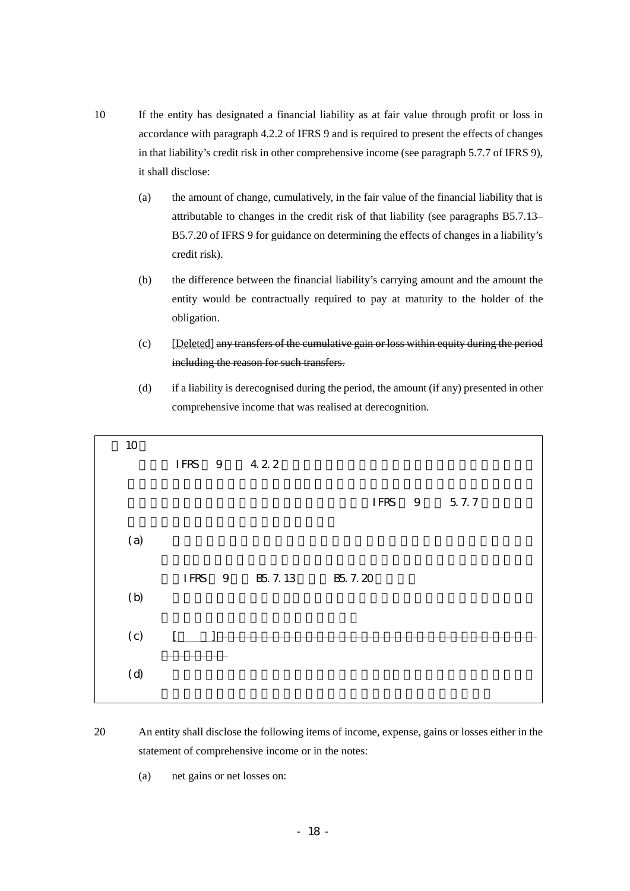- 10 If the entity has designated a financial liability as at fair value through profit or loss in accordance with paragraph 4.2.2 of IFRS 9 and is required to present the effects of changes in that liability's credit risk in other comprehensive income (see paragraph 5.7.7 of IFRS 9), it shall disclose:
	- (a) the amount of change, cumulatively, in the fair value of the financial liability that is attributable to changes in the credit risk of that liability (see paragraphs B5.7.13– B5.7.20 of IFRS 9 for guidance on determining the effects of changes in a liability's credit risk).
	- (b) the difference between the financial liability's carrying amount and the amount the entity would be contractually required to pay at maturity to the holder of the obligation.
	- (c) [Deleted] any transfers of the cumulative gain or loss within equity during the period including the reason for such transfers.
	- (d) if a liability is derecognised during the period, the amount (if any) presented in other comprehensive income that was realised at derecognition.

| 10  |                       |                |         |             |
|-----|-----------------------|----------------|---------|-------------|
|     | IFRS 9 422            |                |         |             |
|     |                       |                |         |             |
|     |                       |                |         | IFRS 9 57.7 |
|     |                       |                |         |             |
| (a) |                       |                |         |             |
|     |                       |                |         |             |
|     |                       | IFRS 9 B5 7.13 | B5 7.20 |             |
| (b) |                       |                |         |             |
|     |                       |                |         |             |
| (c) | $\int_{\mathbb{R}^2}$ |                |         |             |
|     |                       |                |         |             |
| (d) |                       |                |         |             |
|     |                       |                |         |             |

- 20 An entity shall disclose the following items of income, expense, gains or losses either in the statement of comprehensive income or in the notes:
	- (a) net gains or net losses on: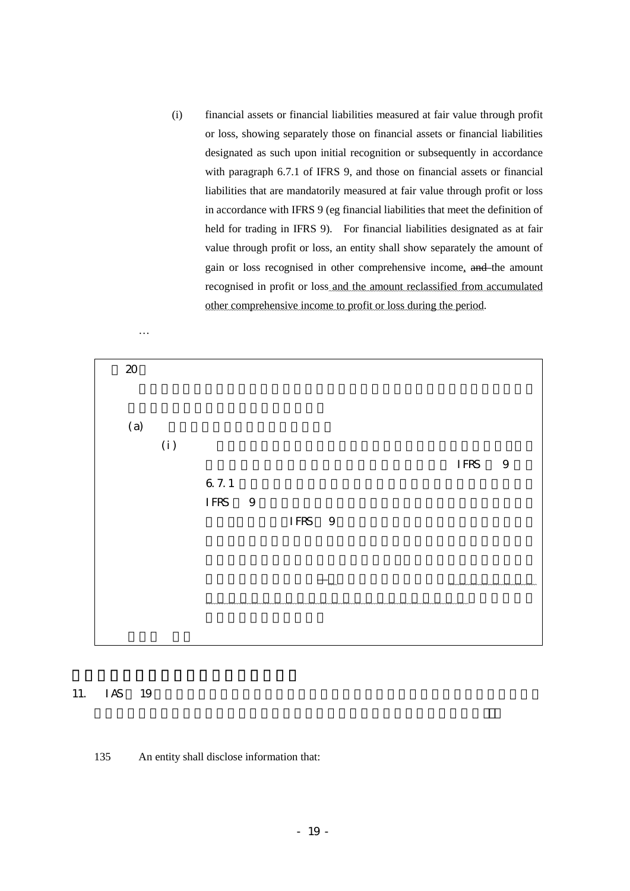(i) financial assets or financial liabilities measured at fair value through profit or loss, showing separately those on financial assets or financial liabilities designated as such upon initial recognition or subsequently in accordance with paragraph 6.7.1 of IFRS 9, and those on financial assets or financial liabilities that are mandatorily measured at fair value through profit or loss in accordance with IFRS 9 (eg financial liabilities that meet the definition of held for trading in IFRS 9). For financial liabilities designated as at fair value through profit or loss, an entity shall show separately the amount of gain or loss recognised in other comprehensive income, and the amount recognised in profit or loss and the amount reclassified from accumulated other comprehensive income to profit or loss during the period.



## 11. IAS 19

135 An entity shall disclose information that: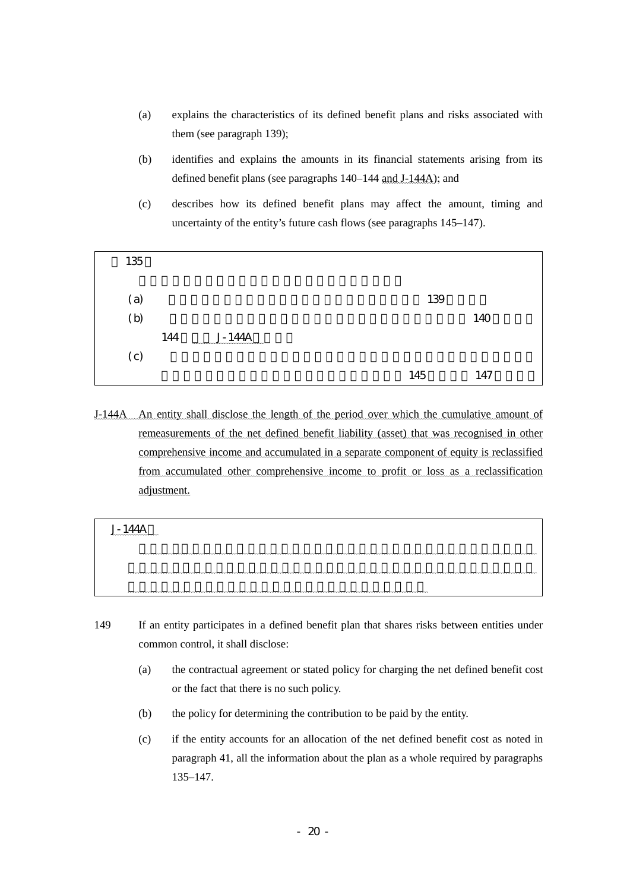- (a) explains the characteristics of its defined benefit plans and risks associated with them (see paragraph 139);
- (b) identifies and explains the amounts in its financial statements arising from its defined benefit plans (see paragraphs 140–144 and J-144A); and
- (c) describes how its defined benefit plans may affect the amount, timing and uncertainty of the entity's future cash flows (see paragraphs 145–147).



J-144A An entity shall disclose the length of the period over which the cumulative amount of remeasurements of the net defined benefit liability (asset) that was recognised in other comprehensive income and accumulated in a separate component of equity is reclassified from accumulated other comprehensive income to profit or loss as a reclassification adjustment.

| $-140$<br>wwwwwwwww |  |
|---------------------|--|
|                     |  |
|                     |  |
|                     |  |

- 149 If an entity participates in a defined benefit plan that shares risks between entities under common control, it shall disclose:
	- (a) the contractual agreement or stated policy for charging the net defined benefit cost or the fact that there is no such policy.
	- (b) the policy for determining the contribution to be paid by the entity.
	- (c) if the entity accounts for an allocation of the net defined benefit cost as noted in paragraph 41, all the information about the plan as a whole required by paragraphs 135–147.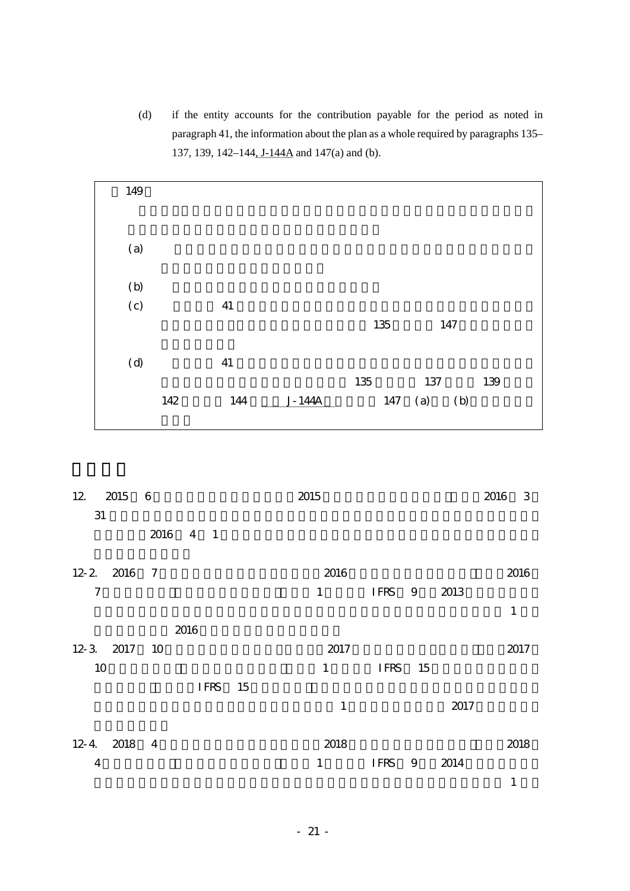(d) if the entity accounts for the contribution payable for the period as noted in paragraph 41, the information about the plan as a whole required by paragraphs 135– 137, 139, 142–144, J-144A and 147(a) and (b).



| 12 2015 6      |          | 2015                   |         |   |      | 2016<br>3    |
|----------------|----------|------------------------|---------|---|------|--------------|
| 31             |          |                        |         |   |      |              |
|                | 2016 4 1 |                        |         |   |      |              |
| 12-2 2016 7    |          | 2016                   |         |   |      | 2016         |
| $\tau$         |          | $1 \quad \blacksquare$ | IFRS 9  |   | 2013 |              |
|                |          |                        |         |   |      | $\mathbf{1}$ |
|                | 2016     |                        |         |   |      |              |
| 12-3 2017 10   |          | 2017                   |         |   |      | 2017         |
| 10             |          | $1 \quad \blacksquare$ | IFRS 15 |   |      |              |
|                | IFRS 15  |                        |         |   |      |              |
|                |          | $\mathbf{1}$           |         |   | 2017 |              |
|                |          |                        |         |   |      |              |
| 12-4 2018 4    |          | 2018                   |         |   |      | 2018         |
| $\overline{4}$ |          | 1                      | IFRS    | 9 | 2014 |              |
|                |          |                        |         |   |      | $\mathbf{1}$ |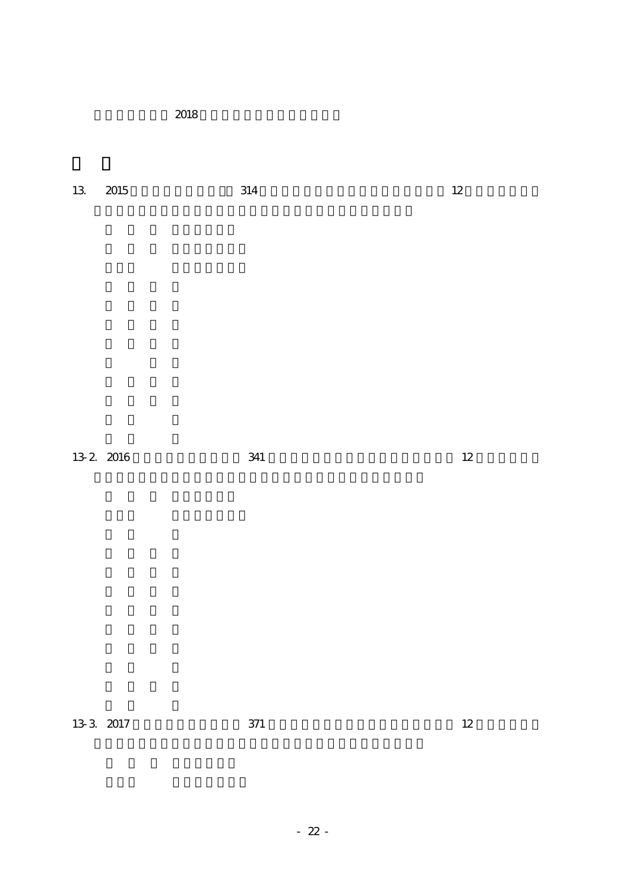期会計期間から 2018 年改正会計基準を適用する。

 $13. \quad 2015$   $314. \quad 314. \quad 12$ 

13-2 2016 341 12

 $13-3$  2017  $371$  12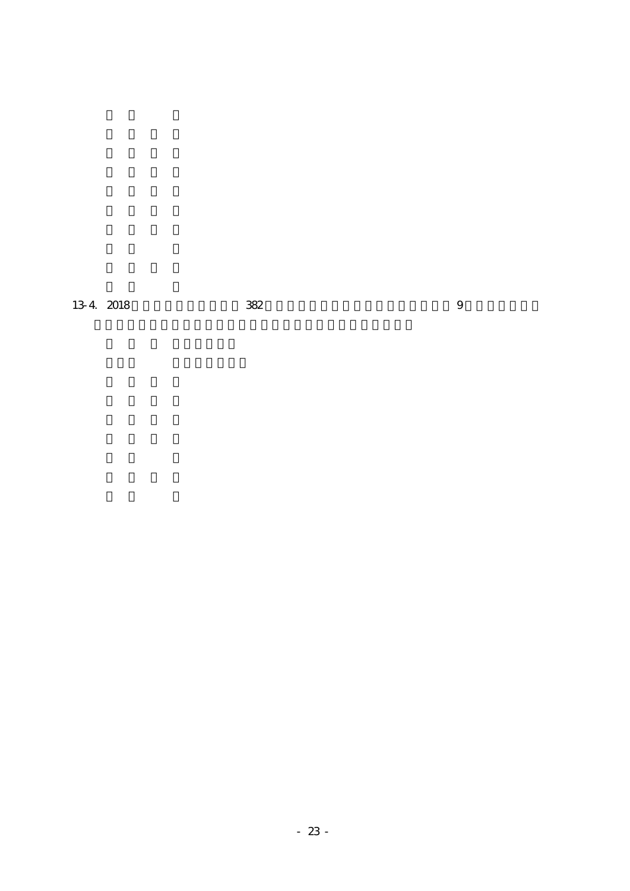$13-4$  2018  $382$  9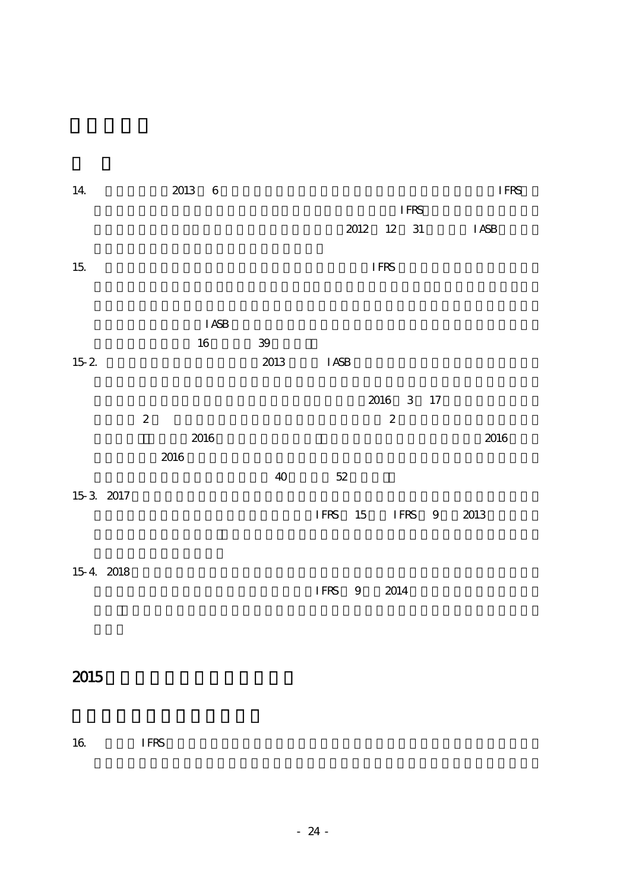| 14        |                  | 2013 | $\overline{\mathbf{6}}$ |                 |             |      |                  |             | <b>IFRS</b>  |
|-----------|------------------|------|-------------------------|-----------------|-------------|------|------------------|-------------|--------------|
|           |                  |      |                         |                 |             |      |                  | <b>IFRS</b> |              |
|           |                  |      |                         |                 |             | 2012 | 12 31            |             | <b>I ASB</b> |
|           |                  |      |                         |                 |             |      |                  |             |              |
| $15\,$    |                  |      |                         |                 |             |      | <b>IFRS</b>      |             |              |
|           |                  |      |                         |                 |             |      |                  |             |              |
|           |                  |      |                         |                 |             |      |                  |             |              |
|           |                  |      | <b>I ASB</b>            |                 |             |      |                  |             |              |
|           |                  |      | $16\,$                  | $3\hskip-2pt 9$ |             |      |                  |             |              |
| $15.2\,$  |                  |      |                         | 2013            | <b>IASB</b> |      |                  |             |              |
|           |                  |      |                         |                 |             |      |                  |             |              |
|           |                  |      |                         |                 |             |      |                  | 2016 3 17   |              |
|           | $\boldsymbol{2}$ |      |                         |                 |             |      | $\boldsymbol{z}$ |             |              |
|           |                  |      | 2016                    |                 |             |      |                  |             | 2016         |
|           |                  | 2016 |                         |                 |             |      |                  |             |              |
|           |                  |      |                         | $40\,$          | $5\!2$      |      |                  |             |              |
| 15 3 2017 |                  |      |                         |                 |             |      |                  |             |              |
|           |                  |      |                         |                 | IFRS 15     |      |                  | IFRS 9      | 2013         |
|           |                  |      |                         |                 |             |      |                  |             |              |
|           |                  |      |                         |                 |             |      |                  |             |              |
| 15-4 2018 |                  |      |                         |                 |             |      |                  |             |              |
|           |                  |      |                         |                 | IFRS 9      |      | $2014\,$         |             |              |
|           |                  |      |                         |                 |             |      |                  |             |              |
|           |                  |      |                         |                 |             |      |                  |             |              |

# $2015$

 $16.$  IFRS  $\blacksquare$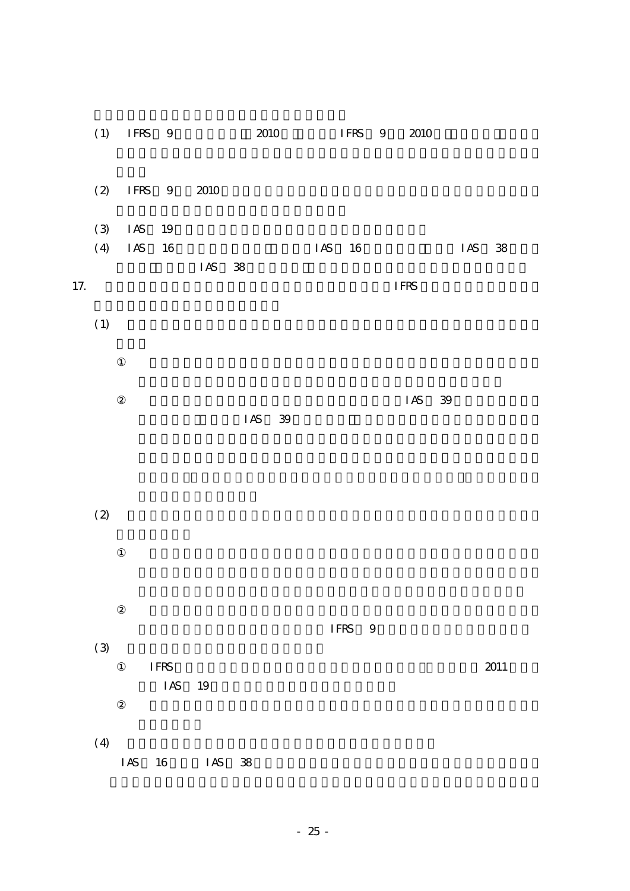|     |     |            | $(1)$ IFRS 9                               |            | 2010   | IFRS 9 |        | 2010   |     |            |  |
|-----|-----|------------|--------------------------------------------|------------|--------|--------|--------|--------|-----|------------|--|
|     | (2) |            | IFRS 9                                     | 2010       |        |        |        |        |     |            |  |
|     | (3) | $\rm I$ AS | 19                                         |            |        |        |        |        |     |            |  |
|     | (4) | $\rm I$ AS | $16\,$                                     |            |        | IAS    | 16     |        | IAS | ${\bf 38}$ |  |
| 17. |     |            |                                            | IAS 38     |        |        |        | IFRS   |     |            |  |
|     | (1) |            |                                            |            |        |        |        |        |     |            |  |
|     |     |            |                                            |            |        |        |        |        |     |            |  |
|     |     |            |                                            |            | IAS 39 |        |        | IAS 39 |     |            |  |
|     |     |            |                                            |            |        |        |        |        |     |            |  |
|     | (2) |            |                                            |            |        |        |        |        |     |            |  |
|     |     |            |                                            |            |        |        |        |        |     |            |  |
|     |     |            |                                            |            |        |        |        |        |     |            |  |
|     |     |            |                                            |            |        |        | IFRS 9 |        |     |            |  |
|     | (3) |            | $\ensuremath{\mathsf{IFRS}}$<br>$\rm I$ AS | $19\,$     |        |        |        |        |     | $2011$     |  |
|     | (4) | $\rm I$ AS | $16\,$                                     | $\rm I$ AS | 38     |        |        |        |     |            |  |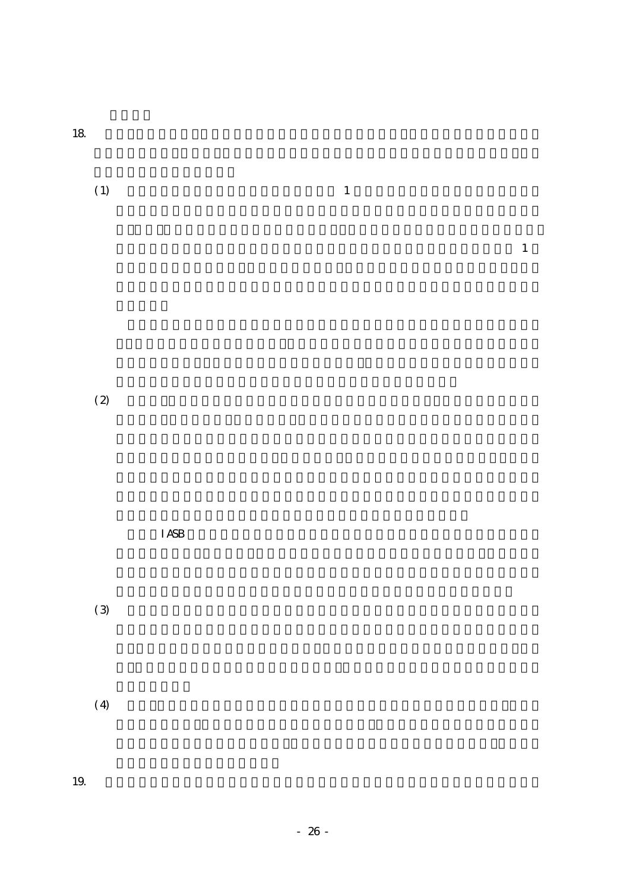$18$ 

| (1) | $\mathbf{1}$ |
|-----|--------------|
|     |              |

 $\mathbf 1$ 

 $(2)$ 

 $I$ ASB  $I$  $(3)$ 

 $(4)$ 

19.  $\blacksquare$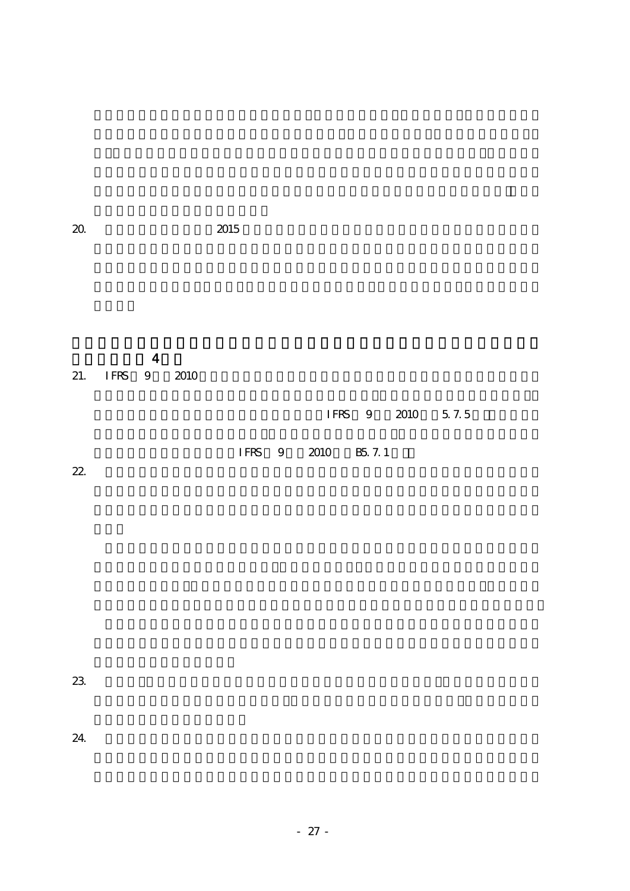$\overline{4}$ 21. IFRS 9 2010

IFRS 9 2010 5.7.5

IFRS 9 2010 B5.7.1

 $22.$ 

 $23.$ 

 $24.$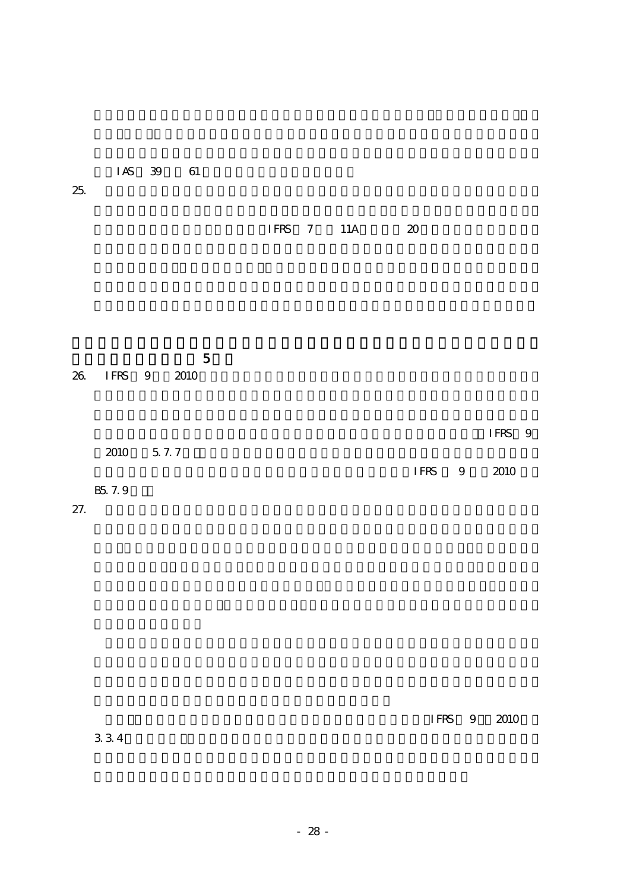|         |                  |  | IFRS 7 11A | 20     |        |
|---------|------------------|--|------------|--------|--------|
|         |                  |  |            |        |        |
|         |                  |  |            |        |        |
| $26\,$  | 5<br>IFRS 9 2010 |  |            |        |        |
|         | 2010 5.7.7       |  |            |        | IFRS 9 |
|         |                  |  |            | IFRS 9 | 2010   |
| B5. 7.9 |                  |  |            |        |        |
| 27.     |                  |  |            |        |        |

 $3.3.4$ 

IAS 39 61

IFRS 9 2010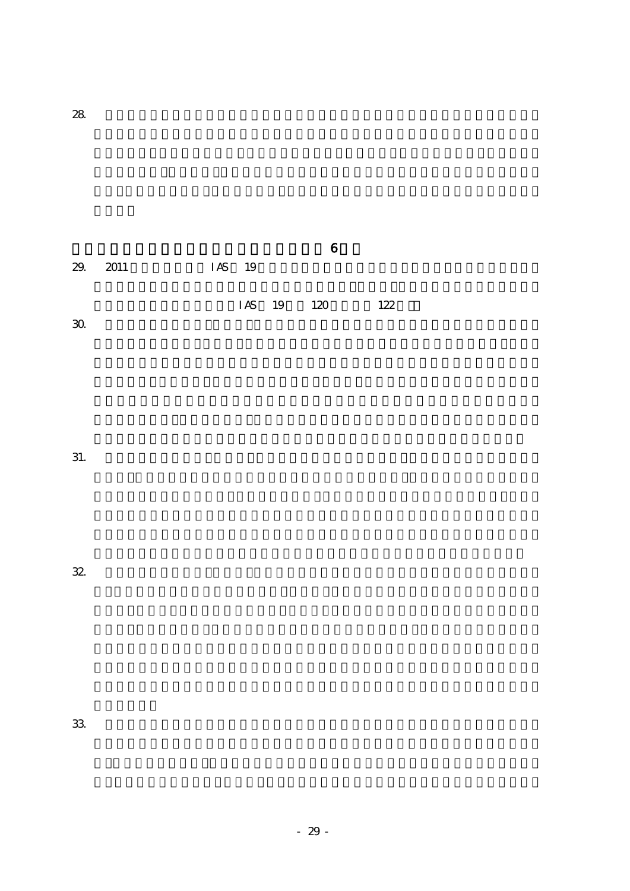| 29. 2011 | IAS 19 |            |     |
|----------|--------|------------|-----|
|          |        |            |     |
|          |        | IAS 19 120 | 122 |
| 30       |        |            |     |

 $32.$ 

 $33.$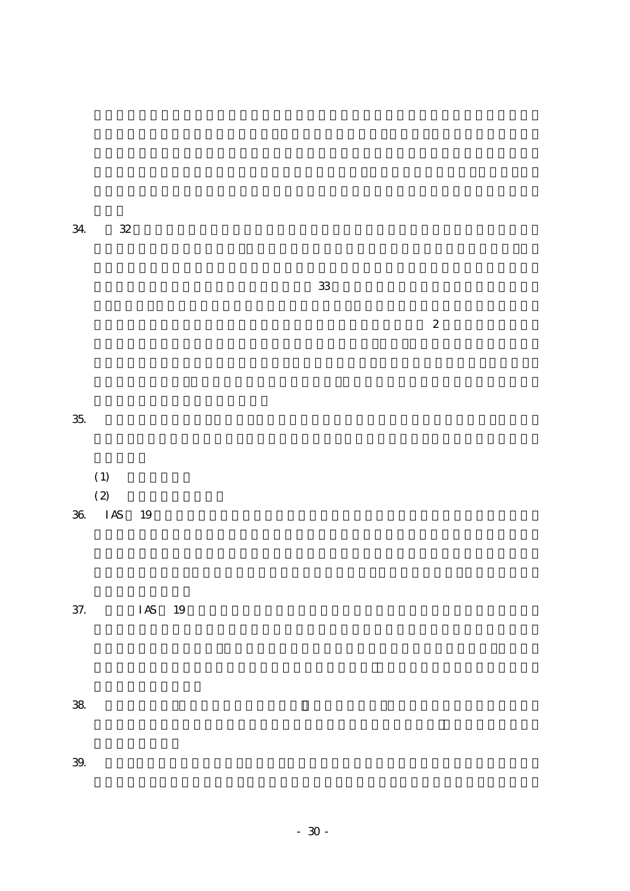| 34. 32 |
|--------|
|        |

 $\sim$  33  $\sim$ 

 $\overline{a}$ 

 $35.$ 

 $(1)$  $(2)$ 36. IAS 19

 $37.$  IAS  $19$ 

 $38.$ 

 $39.$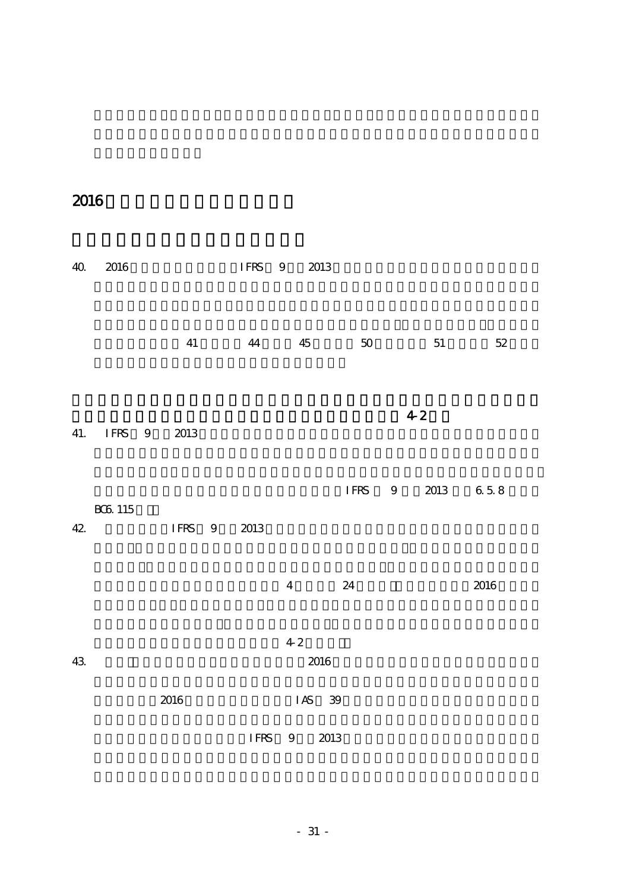2016

| $4\Omega$ | $2016\,$                 |          | IFRS 9      |                |    | 2013   |             |   |       |           |
|-----------|--------------------------|----------|-------------|----------------|----|--------|-------------|---|-------|-----------|
|           |                          | $41\,$   | 44          |                | 45 |        | 50          |   | 51    | $52\,$    |
| 41.       | IFRS 9                   | $2013\,$ |             |                |    |        |             |   | $4-2$ |           |
| $42$      | $\rm{B}\rm{G}\rm{G}$ 115 | IFRS 9   | 2013        |                |    |        | <b>IFRS</b> | 9 | 2013  | $6\;5\;8$ |
|           |                          |          |             | $\overline{4}$ |    |        | 24          |   |       | 2016      |
| $43$      |                          |          |             | $4\sqrt{2}$    |    | 2016   |             |   |       |           |
|           |                          | 2016     |             |                |    | IAS 39 |             |   |       |           |
|           |                          |          | <b>IFRS</b> |                | 9  | 2013   |             |   |       |           |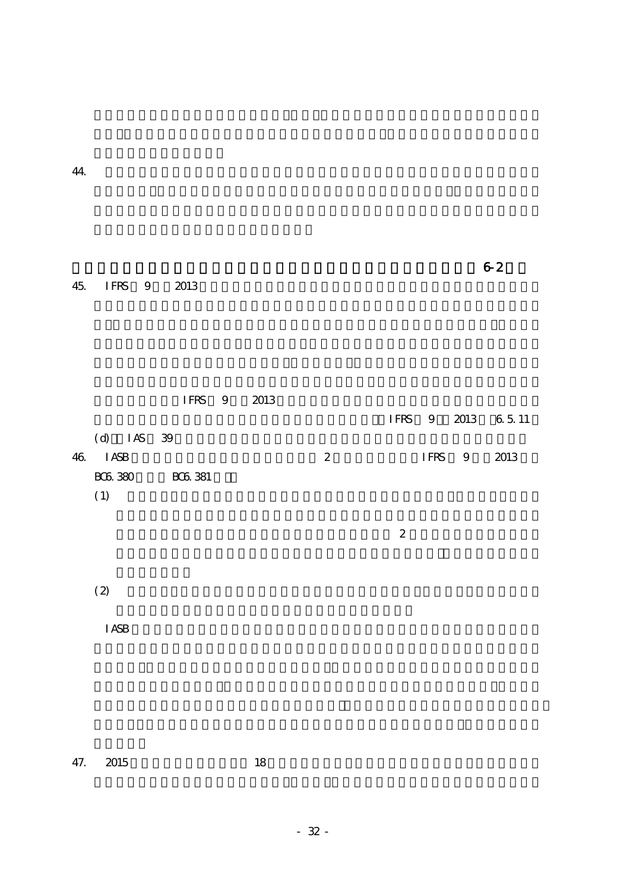45. IFRS 9 2013

 $\sim$  2

|     |                |              | IFRS 9         | 2013 |              |   |      |                |                   |  |
|-----|----------------|--------------|----------------|------|--------------|---|------|----------------|-------------------|--|
|     |                |              |                |      |              |   |      |                | IFRS 9 2013 65.11 |  |
|     |                | $(d)$ IAS 39 |                |      |              |   |      |                |                   |  |
| 46. | I ASB          |              |                |      | $\mathbf{2}$ |   | IFRS | $\overline{9}$ | 2013              |  |
|     | <b>BCG 380</b> |              | <b>BCG 381</b> |      |              |   |      |                |                   |  |
|     | (1)            |              |                |      |              |   |      |                |                   |  |
|     |                |              |                |      |              |   |      |                |                   |  |
|     |                |              |                |      |              | 2 |      |                |                   |  |

 $(2)$ 

IASB  $\overline{a}$ 

47. 2015 18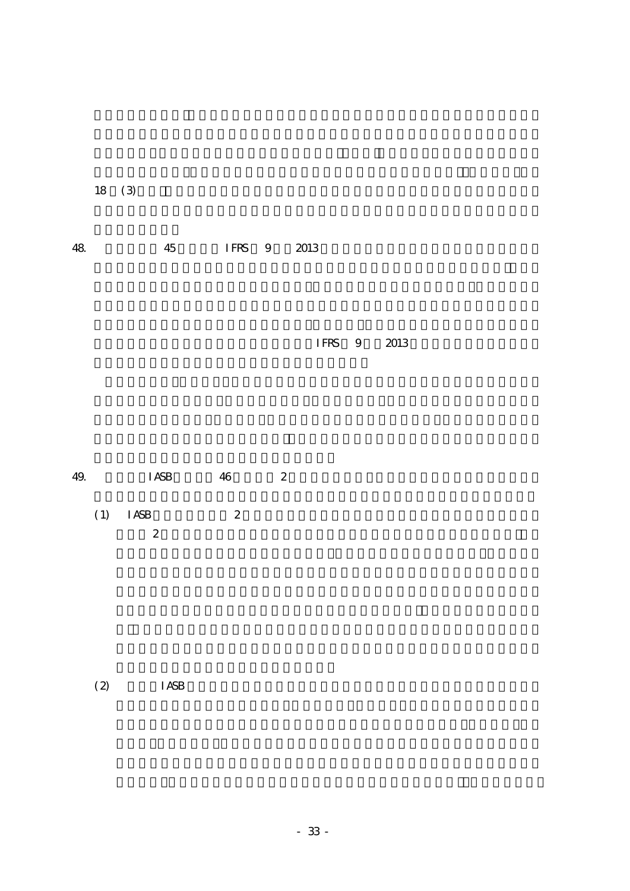$18 \quad (3)$ 

| IFRS 9 2013 |
|-------------|
|-------------|

IFRS 9 2013

 $(1)$  IASB  $2$  $2 \leq$ 

 $(2)$  IASB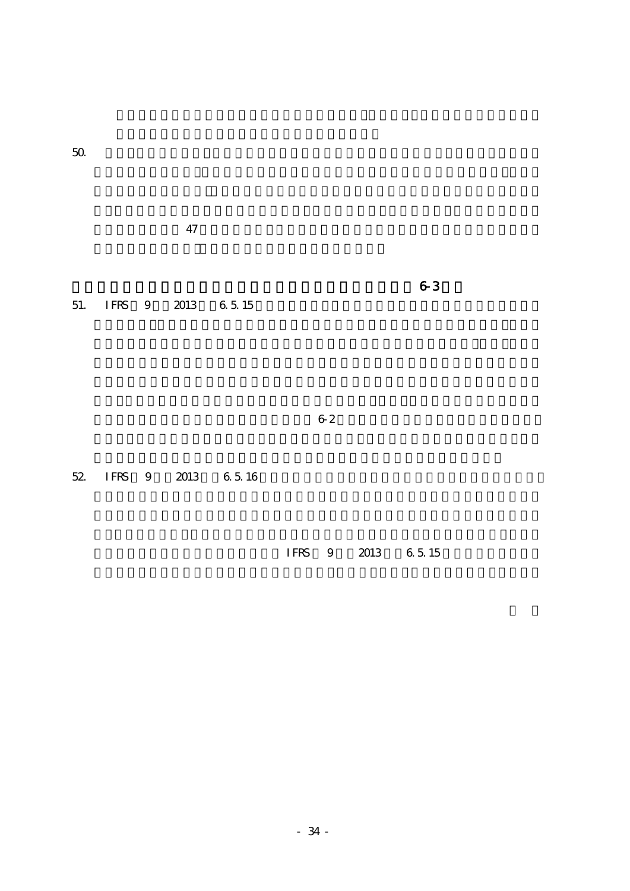$\overline{47}$ 

 $\sim$   $\sim$  3

51. IFRS 9 2013 6.5.15

52. IFRS 9 2013 6.5.16

IFRS 9 2013 6.5.15

 $62$